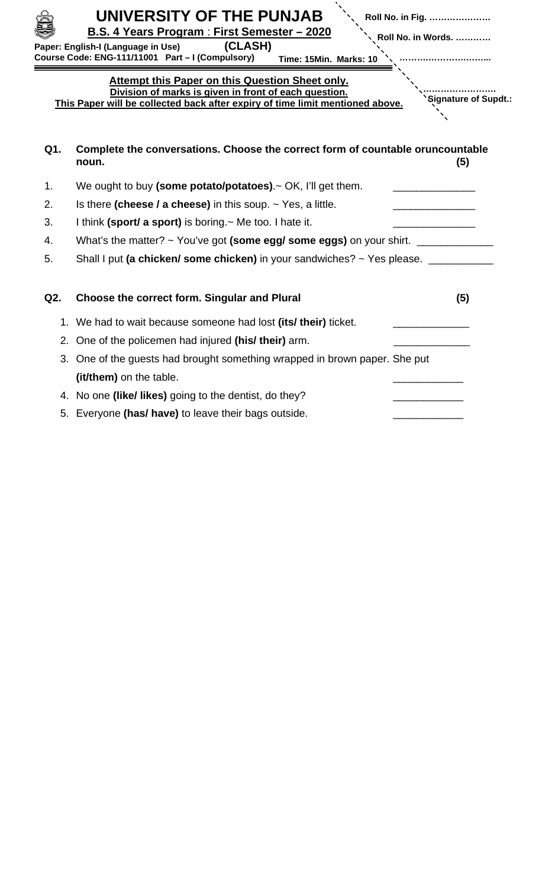|     | UNIVERSITY OF THE PUNJAB<br>Roll No. in Fig.<br>B.S. 4 Years Program: First Semester - 2020<br>Roll No. in Words.<br>(CLASH)<br>Paper: English-I (Language in Use)<br>Course Code: ENG-111/11001 Part - I (Compulsory)<br>Time: 15Min. Marks: 10 |  |  |  |
|-----|--------------------------------------------------------------------------------------------------------------------------------------------------------------------------------------------------------------------------------------------------|--|--|--|
|     | Attempt this Paper on this Question Sheet only.<br>Division of marks is given in front of each question.<br>'Signature of Supdt.:<br>This Paper will be collected back after expiry of time limit mentioned above.                               |  |  |  |
| Q1. | Complete the conversations. Choose the correct form of countable oruncountable<br>(5)<br>noun.                                                                                                                                                   |  |  |  |
| 1.  | We ought to buy (some potato/potatoes).~ OK, I'll get them.                                                                                                                                                                                      |  |  |  |
| 2.  | Is there (cheese / a cheese) in this soup. $\sim$ Yes, a little.                                                                                                                                                                                 |  |  |  |
| 3.  | I think (sport/ a sport) is boring. $\sim$ Me too. I hate it.                                                                                                                                                                                    |  |  |  |
| 4.  | What's the matter? $\sim$ You've got (some egg/ some eggs) on your shirt.                                                                                                                                                                        |  |  |  |
| 5.  | Shall I put (a chicken/ some chicken) in your sandwiches? ~ Yes please. ________                                                                                                                                                                 |  |  |  |
| Q2. | <b>Choose the correct form. Singular and Plural</b><br>(5)                                                                                                                                                                                       |  |  |  |
|     | 1. We had to wait because someone had lost (its/ their) ticket.                                                                                                                                                                                  |  |  |  |
| 2.  | One of the policemen had injured (his/ their) arm.                                                                                                                                                                                               |  |  |  |
| 3.  | One of the guests had brought something wrapped in brown paper. She put                                                                                                                                                                          |  |  |  |
|     | (it/them) on the table.                                                                                                                                                                                                                          |  |  |  |
|     | 4. No one (like/ likes) going to the dentist, do they?                                                                                                                                                                                           |  |  |  |
|     | 5. Everyone (has/ have) to leave their bags outside.                                                                                                                                                                                             |  |  |  |